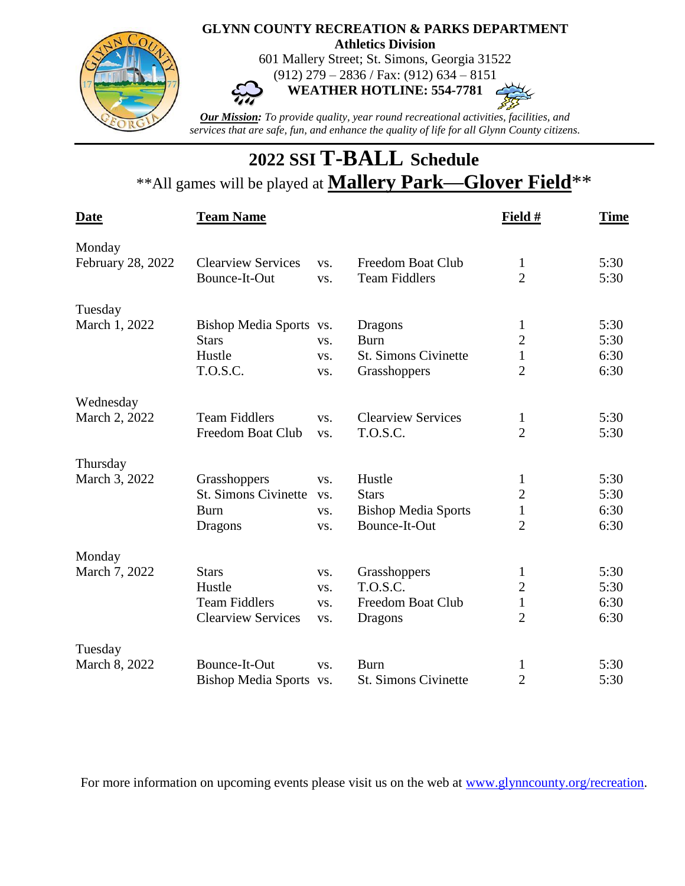

## **2022 SSI T-BALL Schedule** \*\*All games will be played at **Mallery Park—Glover Field**\*\*

| <b>Date</b>       | <b>Team Name</b>            |     |                             | Field #        | <b>Time</b> |
|-------------------|-----------------------------|-----|-----------------------------|----------------|-------------|
| Monday            |                             |     |                             |                |             |
| February 28, 2022 | <b>Clearview Services</b>   | VS. | Freedom Boat Club           | $\mathbf{1}$   | 5:30        |
|                   | Bounce-It-Out               | VS. | <b>Team Fiddlers</b>        | $\overline{2}$ | 5:30        |
| Tuesday           |                             |     |                             |                |             |
| March 1, 2022     | Bishop Media Sports vs.     |     | Dragons                     | 1              | 5:30        |
|                   | <b>Stars</b>                | VS. | <b>Burn</b>                 | $\overline{2}$ | 5:30        |
|                   | Hustle                      | VS. | <b>St. Simons Civinette</b> | $\mathbf{1}$   | 6:30        |
|                   | T.O.S.C.                    | VS. | Grasshoppers                | $\overline{2}$ | 6:30        |
| Wednesday         |                             |     |                             |                |             |
| March 2, 2022     | <b>Team Fiddlers</b>        | VS. | <b>Clearview Services</b>   | $\mathbf{1}$   | 5:30        |
|                   | Freedom Boat Club           | VS. | <b>T.O.S.C.</b>             | $\overline{2}$ | 5:30        |
| Thursday          |                             |     |                             |                |             |
| March 3, 2022     | Grasshoppers                | VS. | Hustle                      | $\mathbf{1}$   | 5:30        |
|                   | <b>St. Simons Civinette</b> | VS. | <b>Stars</b>                | $\overline{c}$ | 5:30        |
|                   | <b>Burn</b>                 | VS. | <b>Bishop Media Sports</b>  | $\mathbf{1}$   | 6:30        |
|                   | Dragons                     | VS. | Bounce-It-Out               | $\overline{2}$ | 6:30        |
| Monday            |                             |     |                             |                |             |
| March 7, 2022     | <b>Stars</b>                | VS. | Grasshoppers                | $\mathbf{1}$   | 5:30        |
|                   | Hustle                      | VS. | T.O.S.C.                    | $\overline{2}$ | 5:30        |
|                   | <b>Team Fiddlers</b>        | VS. | <b>Freedom Boat Club</b>    | $\mathbf{1}$   | 6:30        |
|                   | <b>Clearview Services</b>   | VS. | Dragons                     | $\overline{2}$ | 6:30        |
| Tuesday           |                             |     |                             |                |             |
| March 8, 2022     | Bounce-It-Out               | VS. | <b>Burn</b>                 | $\mathbf{1}$   | 5:30        |
|                   | Bishop Media Sports vs.     |     | <b>St. Simons Civinette</b> | $\overline{2}$ | 5:30        |

For more information on upcoming events please visit us on the web at [www.glynncounty.org/recreation.](http://www.glynncounty.org/recreation)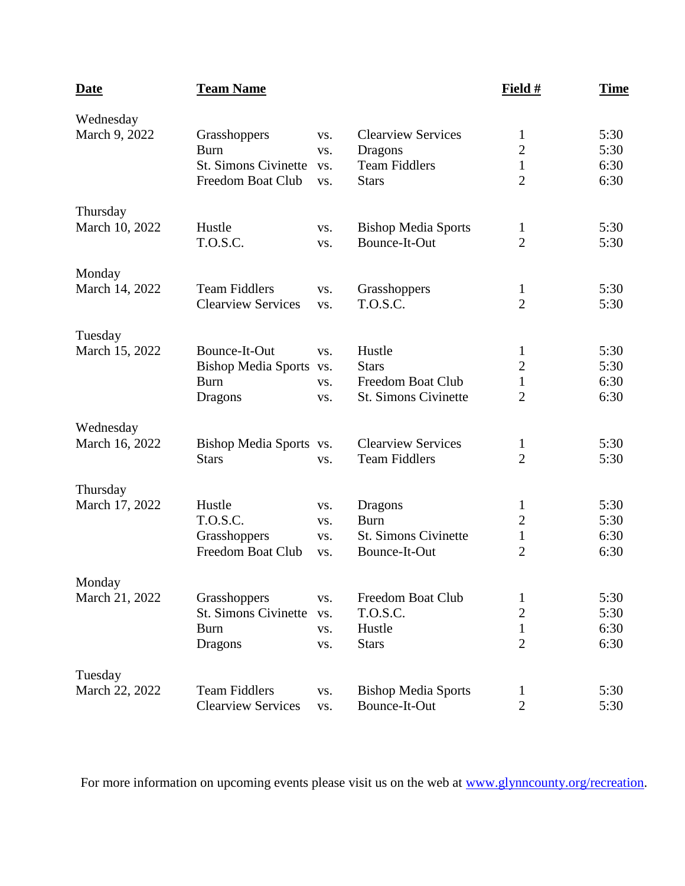| <b>Date</b>                 | <b>Team Name</b>                                                                |                          |                                                                                     | Field #                                                          | <b>Time</b>                  |
|-----------------------------|---------------------------------------------------------------------------------|--------------------------|-------------------------------------------------------------------------------------|------------------------------------------------------------------|------------------------------|
| Wednesday<br>March 9, 2022  | Grasshoppers<br><b>Burn</b><br><b>St. Simons Civinette</b><br>Freedom Boat Club | VS.<br>VS.<br>VS.<br>VS. | <b>Clearview Services</b><br><b>Dragons</b><br><b>Team Fiddlers</b><br><b>Stars</b> | $\mathbf{1}$<br>$\sqrt{2}$<br>$\mathbf{1}$<br>$\overline{2}$     | 5:30<br>5:30<br>6:30<br>6:30 |
| Thursday<br>March 10, 2022  | Hustle<br><b>T.O.S.C.</b>                                                       | VS.<br>VS.               | <b>Bishop Media Sports</b><br>Bounce-It-Out                                         | $\mathbf{1}$<br>$\overline{2}$                                   | 5:30<br>5:30                 |
| Monday<br>March 14, 2022    | <b>Team Fiddlers</b><br><b>Clearview Services</b>                               | VS.<br>VS.               | Grasshoppers<br>T.O.S.C.                                                            | 1<br>$\overline{2}$                                              | 5:30<br>5:30                 |
| Tuesday<br>March 15, 2022   | Bounce-It-Out<br><b>Bishop Media Sports</b><br><b>Burn</b><br>Dragons           | VS.<br>VS.<br>VS.<br>VS. | Hustle<br><b>Stars</b><br><b>Freedom Boat Club</b><br>St. Simons Civinette          | $\mathbf{1}$<br>$\mathbf{2}$<br>$\mathbf{1}$<br>$\overline{2}$   | 5:30<br>5:30<br>6:30<br>6:30 |
| Wednesday<br>March 16, 2022 | Bishop Media Sports vs.<br><b>Stars</b>                                         | VS.                      | <b>Clearview Services</b><br><b>Team Fiddlers</b>                                   | $\mathbf{1}$<br>$\overline{2}$                                   | 5:30<br>5:30                 |
| Thursday<br>March 17, 2022  | Hustle<br>T.O.S.C.<br>Grasshoppers<br>Freedom Boat Club                         | VS.<br>VS.<br>VS.<br>VS. | Dragons<br><b>Burn</b><br><b>St. Simons Civinette</b><br>Bounce-It-Out              | 1<br>$\mathbf{2}$<br>$\mathbf 1$<br>$\overline{2}$               | 5:30<br>5:30<br>6:30<br>6:30 |
| Monday<br>March 21, 2022    | Grasshoppers<br><b>St. Simons Civinette</b><br><b>Burn</b><br><b>Dragons</b>    | VS.<br>VS.<br>VS.<br>VS. | Freedom Boat Club<br>T.O.S.C.<br>Hustle<br><b>Stars</b>                             | $\mathbf{1}$<br>$\overline{2}$<br>$\mathbf{1}$<br>$\overline{2}$ | 5:30<br>5:30<br>6:30<br>6:30 |
| Tuesday<br>March 22, 2022   | <b>Team Fiddlers</b><br><b>Clearview Services</b>                               | VS.<br>VS.               | <b>Bishop Media Sports</b><br>Bounce-It-Out                                         | $\mathbf{1}$<br>$\overline{2}$                                   | 5:30<br>5:30                 |

For more information on upcoming events please visit us on the web at [www.glynncounty.org/recreation.](http://www.glynncounty.org/recreation)